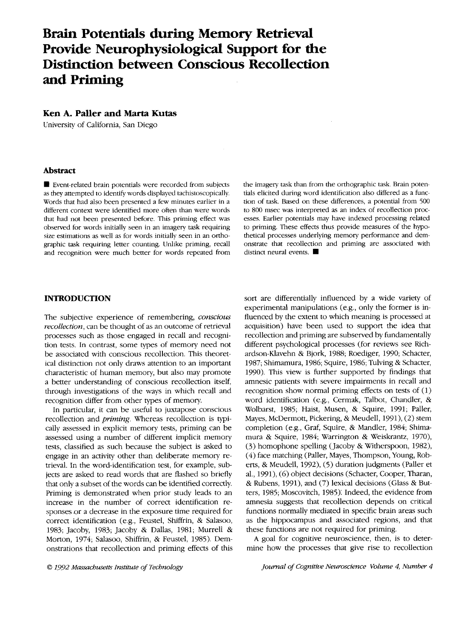# **Brain Potentials during Memory Retrieval Provide Neurophysiological Support for the Distinction between Conscious Recollection and Priming**

# **Ken A. Paller and Marta Kutas**

University of California, San Diego

# **Abstract**

Event-related brain potentials were recorded from subjects as they attempted to identify words displayed tachistoscopically. Words that had also been presented a few minutes earlier in a different context were identified more often than were words that had not been presented before. This priming effect was observed for words initially seen in an imagery task requiring size estimations **as** well as for words initially seen in an orthographic task requiring letter counting. Unlike priming, recall and recognition were much better for words repeated from the imagery task than from the orthographic task. Brain potentials elicited during word identification also differed as a function of task. Based on these differences, a potential from 500 to 800 msec was interpreted **as** an index of recollection processes. Earlier potentials may have indexed processing related to priming. These effects thus provide measures of the hypothetical processes underlying memory performance and demonstrate that recollection and priming are associated with distinct neural events.

# **INTRQDUCTION**

The subjective experience of remembering, conscious *recollection,* can be thought of as an outcome of retrieval processes such as those engaged in recall and recognition tests. In contrast, some types of memory need not be associated with conscious recollection. This theoretical distinction not only draws attention to an important characteristic of human memory, but also may promote a better understanding of conscious recollection itself, through investigations of the ways in which recall and recognition differ from other types of memory.

In particular, it can be useful to juxtapose conscious recollection and *priming.* Whereas recollection is typically assessed in explicit memory tests, priming can be assessed using a number of different implicit memory tests, classified as such because the subject is asked to engage in an activity other than deliberate memory retrieval. In the word-identification test, for example, subjects are asked to read words that are flashed so briefly that only a subset of the words can be identified correctly. Priming is demonstrated when prior study leads to an increase in the number of correct identification responses or a decrease in the exposure time required for correct identification (e.g., Feustel, Shiffrin, & Salasoo, 1983; Jacoby, 1983; Jacoby & Dallas, 1981; Murrell & Morton, 1974; Salasoo, Shiffrin, & Feustel, 1985). Demonstrations that recollection and priming effects of this sort are differentially influenced by a wide variety of experimental manipulations (e.g., only the former is influenced by the extent to which meaning is processed at acquisition) have been used to support the idea that recollection and priming are subserved by fundamentally different psychological processes (for reviews see Richardson-Klavehn & Bjork, 1988; Roediger, 1990; Schacter, 1987; Shimamura, 1986; Squire, 1986; Tulving & Schacter, 1990). This view is further supported by findings that amnesic patients with severe impairments in recall and recognition show normal priming effects on tests of (1) word identification (e.g., Cermak, Talbot, Chandler, & Wolbarst, 1985; Haist, Musen, & Squire, 1991; Paller, Mayes, McDermott, Pickering, & Meudell, 1991), (2) stem completion (e.g., Graf, Squire, & Mandler, 1984; Shimamura & Squire, 1984; Warrington & Weiskrantz, 1970), *(3)* homophone spelling (Jacoby & Witherspoon, 1982), (4) face matching (Paller, Mayes, Thompson, Young, Roberts, & Meudell, 1992), *(5)* duration judgments (Paller et al., 1991), (6) object decisions (Schacter, Cooper, Tharan, & Rubens, 1991), and (7) lexical decisions (Glass & Butters, 1985; Moscovitch, 1985): Indeed, the evidence from amnesia suggests that recollection depends on critical functions normally mediated in specific brain areas such as the hippocampus and associated regions, and that these functions are not required for priming.

**A** goal for cognitive neuroscience, then, is to determine how the processes that give rise to recollection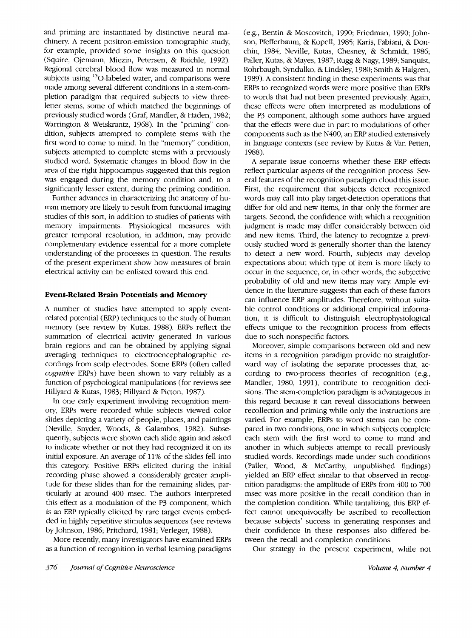and priming are instantiated by distinctive neural machinery. A recent positron-emission tomographic study, for example, provided some insights on this question (Squire, Ojemann, Miezin, Petersen, & Raichle, 1992). Regional cerebral blood flow was measured in normal subjects using  $15$ O-labeled water, and comparisons were made among several different conditions in a stem-completion paradigm that required subjects to view threeletter stems, some of which matched the beginnings of previously studied words (Graf, Mandler, & Haden, 1982; Warrington & Weiskrantz, 1968). In the "priming" condition, subjects attempted to complete stems with the first word to come to mind. In the "memory" condition, subjects attempted to complete stems with a previously studied word. Systematic changes in blood flow in the area of the right hippocampus suggested that this region was engaged during the memory condition and, to a significantly lesser extent, during the priming condition.

Further advances in characterizing the anatomy of human memory are likely to result from functional imaging studies of this sort, in addition to studies of patients with memory impairments. Physiological measures with greater temporal resolution, in addition, may provide complementary evidence essential for a more complete understanding of the processes in question. The results of the present experiment show how measures of brain electrical activity can be enlisted toward this end.

## **Event-Related Brain Potentials and Memory**

A number of studies have attempted to apply eventrelated potential (ERP) techniques to the study of human memory (see review by Kutas, 1988). ERPs reflect the summation of electrical activity generated in various brain regions and can be obtained by applying signal averaging techniques to electroencephalographic recordings from scalp electrodes. Some ERPs (often called *cognitive* ERPs) have been shown to vary reliably as a function of psychological manipulations (for reviews see Hillyard & Kutas, 1983; Hillyard & Picton, 1987).

In one early experiment involving recognition mem*ory,* ERPs were recorded while subjects viewed color slides depicting a variety of people, places, and paintings (Neville, Snyder, Woods, & Galambos, 1982). Subsequently, subjects were shown each slide again and asked to indicate whether or not they had recognized it on its initial exposure. **An** average of 11% of the slides fell into this category. Positive ERPs elicited during the initial recording phase showed a considerably greater amplitude for these slides than for the remaining slides, particularly at around 400 msec. The authors interpreted this effect as a modulation of the P3 component, which is an ERP typically elicited by rare target events embedded in highly repetitive stimulus sequences (see reviews by Johnson, 1986; Pritchard, 1981; Verleger, 1988).

More recently, many investigators have examined ERPs **as** a function of recognition in verbal learning paradigms (e.g., Bentin & Moscovitch, 1990; Friedman, 1990; Johnson, Pfefferbaum, & Kopell, 1985; Karis, Fabiani, & Donchin, 1984; Neville, Kutas, Chesney, & Schmidt, 1986; Paller, Kutas, & Mayes, 1987; Rugg & Nagy, 1989; Sanquist, Rohrbaugh, Syndulko, & Lindsley, 1980; Smith & Halgren, 1989). A consistent finding in these experiments was that ERPs to recognized words were more positive than ERPs to words that had not been presented previously. Again, these effects were often interpreted as modulations of the P3 component, although some authors have argued that the effects were due in part to modulations of other components such as the N400, an ERP studied extensively in language contexts (see review by Kutas & Van Petten, 1988).

A separate issue concerns whether these ERP effects reflect particular aspects of the recognition process. Several features of the recognition paradigm cloud this issue. First, the requirement that subjects detect recognized words may call into play target-detection operations that differ for old and new items, in that only the former are targets. Second, the confidence with which a recognition judgment is made may differ considerably between old and new items. Third, the latency to recognize a previously studied word is generally shorter than the latency to detect a new word. Fourth, subjects may develop expectations about which type of item is more likely to occur in the sequence, or, in other words, the subjective probability of old and new items may vary. Ample evidence in the literature suggests that each of these factors can influence ERP amplitudes. Therefore, without suitable control conditions or additional empirical information, it is difficult to distinguish electrophysiological effects unique to the recognition process from effects due to such nonspecific factors.

Moreover, simple comparisons between old and new items in a recognition paradigm provide no straightforward way cf isolating the separate processes that, according to two-process theories of recognition (e.g., Mandler, 1980, 1991), contribute to recognition decisions. The stem-completion paradigm is advantageous in this regard because it can reveal dissociations between recollection and priming while only the instructions are varied. For example, ERPs to word stems can be compared in two conditions, one in which subjects complete each stem with the first word to come to mind and another in which subjects attempt to recall previously studied words. Recordings made under such conditions (Paller, Wood, & McCarthy, unpublished findings) yielded an ERP effect similar to that observed in recognition paradigms: the amplitude of ERPs from *400* to 700 msec was more positive in the recall condition than in the completion condition. While tantalizing, this ERP effect cannot unequivocally be ascribed to recollection because subjects' success in generating responses and their confidence in these responses also differed between the recall and completion conditions.

Our strategy in the present experiment, while not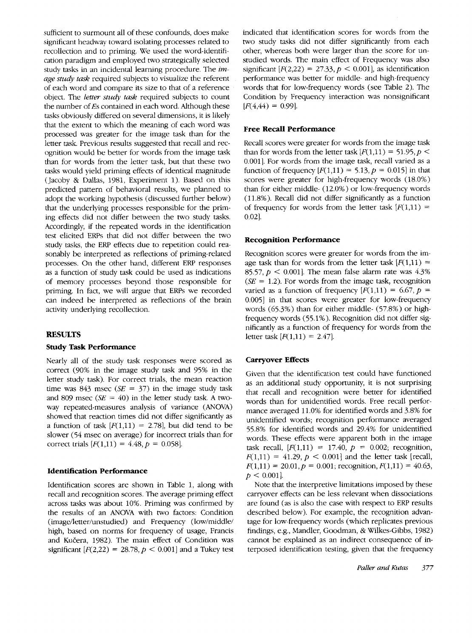sufficient to surmount all of these confounds, does make significant headway toward isolating processes related to recollection and to priming. We used the word-identification paradigm and employed two strategically selected study tasks in an incidental learning procedure. The *image study tusk* required subjects to visualize the referent of each word and compare its size to that of a reference object. The *letter study task* required subjects to count the number of *Es* contained in each word. Although these tasks obviously differed on several dimensions, it is likely that the extent to which the meaning of each word was processed was greater for the image task than for the letter task. Previous results suggested that recall and recognition would be better for words from the image task than for words from the letter task, but that these two tasks would yield priming effects of identical magnitude (Jacoby & Dallas, *1981,* Experiment *1).* Based on this predicted pattern of behavioral results, we planned to adopt the working hypothesis (discussed further below) that the underlying processes responsible for the priming effects did not differ between the two study tasks. Accordingly, if the repeated words in the identification test elicited ERPs that did not differ between the two study tasks, the ERP effects due to repetition could reasonably be interpreted as reflections of priming-related processes. On the other hand, different ERP responses as a function of study task could be used as indications of memory processes beyond those responsible for priming. In fact, we will argue that ERPs we recorded can indeed be interpreted as reflections of the brain activity underlying recollection.

#### **RESULTS**

#### **Study Task Performance**

Nearly all of the study task responses were scored as correct *(90%* in the image study task and *95%* in the letter study task). For correct trials, the mean reaction time was  $843$  msec  $(SE = 37)$  in the image study task and 809 msec  $(SE = 40)$  in the letter study task. A twoway repeated-measures analysis of variance (ANOVA) showed that reaction times did not differ significantly as a function of task  $[F(1,11) = 2.78]$ , but did tend to be slower *(54* msec on average) for incorrect trials than for correct trials  $[F(1,11) = 4.48, p = 0.058]$ .

#### **Identification Performance**

Identification scores are shown in Table 1, along with recall and recognition scores. The average priming effect across tasks was about 10%. Priming was confirmed by the results of an ANOVA with two factors: Condition (image/letter/unstudied) and Frequency (low/middle/ high, based on norms for frequency of usage, Francis and Kučera, 1982). The main effect of Condition was significant  $[F(2,22) = 28.78, p < 0.001]$  and a Tukey test indicated that identification scores for words from the two study tasks did not differ significantly from each other, whereas both were larger than the score for unstudied words. The main effect of Frequency was also significant  $[F(2,22) = 27.33, p \le 0.001]$ , as identification performance was better for middle- and high-frequency words that for low-frequency words (see Table *2).* The Condition by Frequency interaction was nonsignificant  $[F(4,44) = 0.99]$ .

#### **Free Recall Performance**

Recall scores were greater for words from the image task than for words from the letter task  $[F(1,11) = 51.95, p <$ *0.001].* For words from the image task, recall varied as a function of frequency  $[F(1,11) = 5.13, p = 0.015]$  in that scores were greater for high-frequency words *(18.0%)*  than for either middle- *(12.0%)* or low-frequency words (11.8%). Recall did not differ significantly as a function of frequency for words from the letter task  $F(1,11) =$ *0.021.* 

#### **Recognition Performance**

Recognition scores were greater for words from the image task than for words from the letter task  $F(1,11) =$ 85.57,  $p < 0.001$ . The mean false alarm rate was  $4.3\%$  $(SE = 1.2)$ . For words from the image task, recognition varied as a function of frequency  $[F(1,11) = 6.67, p =$ 0.0051 in that scores were greater for low-frequency words *(65.3%)* than for either middle- *(57.8%)* or highfrequency words *(55.1%).* Recognition did not differ significantly as a function of frequency for words from the letter task  $[F(1,11) = 2.47]$ .

#### **Carryover Effects**

Given that the identification test could have functioned as an additional study opportunity, it is not surprising that recall and recognition were better for identified words than for unidentified words. Free recall performance averaged 11.0% for identified words and *3.8%* for unidentified words; recognition performance averaged *55.8%* for identified words and *29.4%* for unidentified words. These effects were apparent both in the image task recall,  $[F(1,11) = 17.40, p = 0.002;$  recognition,  $F(1,11) = 41.29, p < 0.001$ ] and the letter task [recall,  $F(1,11) = 20.01, p = 0.001$ ; recognition,  $F(1,11) = 40.63$ ,  $p < 0.001$ .

Note that the interpretive limitations imposed by these carryover effects can be less relevant when dissociations are found (as is also the case with respect to ERP results described below). For example, the recognition advantage for low-frequency words (which replicates previous findings, e.g., Mandler, Goodman, & Wilkes-Gibbs, *1982)*  cannot be explained as an indirect consequence of interposed identification testing, given that the frequency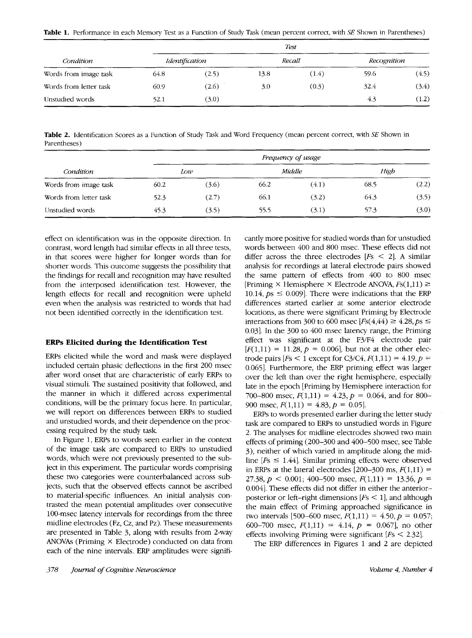**Table 1.** Performance in each Memory Test as a Function of Study Task (mean percent correct, with *SE* Shown in Parentheses)

| Condition<br>Words from image task | Test           |       |        |       |             |       |  |  |
|------------------------------------|----------------|-------|--------|-------|-------------|-------|--|--|
|                                    | Identification |       | Recall |       | Recognition |       |  |  |
|                                    | 64.8           | (2.5) | 13.8   | (1.4) | 59.6        | (4.5) |  |  |
| Words from letter task             | 60.9           | (2.6) | 3.0    | (0.3) | 32.4        | (3.4) |  |  |
| Unstudied words                    | 52.1           | (3.0) |        |       | 4.3         | (1.2) |  |  |

**Table 2.** Identification Scores as a Function of Study Task and Word Frequency (mean percent correct, with *SE* Shown in Parentheses)

| Condition<br>Words from image task | Frequency of usage |       |        |       |      |       |  |  |
|------------------------------------|--------------------|-------|--------|-------|------|-------|--|--|
|                                    | Low                |       | Middle |       | High |       |  |  |
|                                    | 60.2               | (3.6) | 66.2   | (4.1) | 68.5 | (2.2) |  |  |
| Words from letter task             | 52.3               | (2.7) | 66.1   | (3.2) | 64.3 | (3.5) |  |  |
| Unstudied words                    | 45.3               | (3.5) | 55.5   | (3.1) | 57.3 | (3.0) |  |  |

effect on identification was in the opposite direction. In contrast, word length had similar effects in all three tests, in that scores were higher for longer words than for shorter words. This outcome suggests the possibility that the findings for recall and recognition may have resulted from the interposed identification test. However, the length effects for recall and recognition were upheld even when the analysis was restricted to words that had not been identified correctly in the identification test.

#### **ERPs Elicited during the Identification Test**

ERPs elicited while the word and mask were displayed included certain phasic deflections in the first 200 msec afier word onset that are characteristic of early ERPs to visual stimuli. The sustained positivity that followed, and the manner in which it differed across experimental conditions, will be the primary focus here. In particular, we will report on differences between ERPs to studied and unstudied words, and their dependence on the processing required by the study task.

In Figure *1,* ERPs to words seen earlier in the context of the image task are compared to ERPs to unstudied words, which were not previously presented to the subject in this experiment. The particular words comprising these two categories were counterbalanced across subjects, such that the observed effects cannot be ascribed to material-specific influences. **An** initial analysis contrasted the mean potential amplitudes over consecutive 100-msec latency intervals for recordings from the three midline electrodes (Fz, *Cz,* and Pz). These measurements are presented in Table 3, along with results from 2-way ANOVAs (Priming  $\times$  Electrode) conducted on data from each of the nine intervals. ERP amplitudes were significantly more positive for studied words than for unstudied words between *400* and 800 msec. These effects did not differ across the three electrodes  $[F<sub>S</sub> < 2]$ . A similar analysis for recordings at lateral electrode pairs showed the same pattern of effects from *400* to 800 msec [Priming  $\times$  Hemisphere  $\times$  Electrode ANOVA,  $Fs(1,11) \geq 1$ 10.14,  $ps \le 0.009$ . There were indications that the ERP differences started earlier at some anterior electrode locations, as there were significant Priming by Electrode interactions from 300 to 600 msec  $[Fs(4,44) \ge 4.28, ps \le$ *0.031.* In the *300* to *400* msec latency range, the Priming effect was significant at the F3/F4 electrode pair  $F(1,11) = 11.28, p = 0.006$ , but not at the other electrode pairs  $[Fs < 1 \text{ except for } C3/C4, F(1,11) = 4.19, p =$ *0.0651.* Furthermore, the ERP priming effect was larger over the left than over the right hemisphere, especially late in the epoch [Priming by Hemisphere interaction for 700-800 msec,  $F(1,11) = 4.23, p = 0.064$ , and for 800-*900* msec,  $F(1,11) = 4.83$ ,  $p = 0.05$ .

ERPs to words presented earlier during the letter study task are compared to ERPs to unstudied words in Figure *2.* The analyses for midline electrodes showed two main Effects of priming (200–300 and 400–500 msec, see Table 3), neither of which varied in amplitude along the midline  $[Fs \le 1.44]$ . Similar priming effects were observed in EPPs at the lateral electrodes (200, 300 ms,  $F(1,1$ *3),* neither of which varied in amplitude along the midin ERPs at the lateral electrodes  $[200-300 \text{ ms}, F(1,11) =$ *27.38,p* < *0.001; 400-500* msec, *F(1,ll)* = *13.36,p* = *0.0041.* These effects did not differ in either the anteriorposterior or left-right dimensions *[Fs* < *11,* and although the main effect of Priming approached significance in two intervals  $[500-600$  msec,  $F(1,11) = 4.50, p = 0.057$ ; *600-700* msec,  $F(1,11) = 4.14$ ,  $p = 0.067$ , no other effects involving Priming were significant *[Fs* < 2.321.

The ERP differences in Figures *1* and 2 are depicted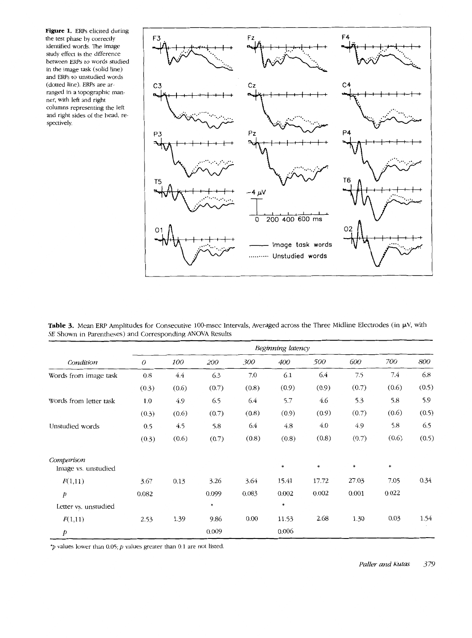**Figure 1.** ERPs elicited during the test phase by correctly identified words. The image study effect is the difference between ERPs to words studied in the image task (solid line) and ERPs to unstudied words (dotted line). ERPs are arranged in a topographic manner, with left and right columns representing the left and right sides of the head, respectively,



Table 3. Mean ERP Amplitudes for Consecutive 100-msec Intervals, Averaged across the Three Midline Electrodes (in  $\mu$ V, with SE Shown in Parentheses) and Corresponding ANOVA Results

| Condition                         | Beginning latency |       |        |       |        |        |       |        |       |
|-----------------------------------|-------------------|-------|--------|-------|--------|--------|-------|--------|-------|
|                                   | 0                 | 100   | 200    | 300   | 400    | 500    | 600   | 700    | 800   |
| Words from image task             | 0.8               | 4.4   | 6.3    | 7.0   | 6.1    | 6.4    | 7.5   | 7.4    | 6.8   |
|                                   | (0.3)             | (0.6) | (0.7)  | (0.8) | (0.9)  | (0.9)  | (0.7) | (0.6)  | (0.5) |
| Words from letter task            | 1.0               | 4.9   | 6.5    | 6.4   | 5.7    | 4.6    | 5.3   | 5.8    | 5.9   |
|                                   | (0.3)             | (0.6) | (0.7)  | (0.8) | (0.9)  | (0.9)  | (0.7) | (0.6)  | (0.5) |
| Unstudied words                   | 0.5               | 4.5   | 5.8    | 6.4   | 4.8    | 4.0    | 4.9   | 5.8    | 6.5   |
|                                   | (0.3)             | (0.6) | (0.7)  | (0.8) | (0.8)  | (0.8)  | (0.7) | (0.6)  | (0.5) |
| Comparison<br>Image vs. unstudied |                   |       |        |       | $\ast$ | $\ast$ | *     | $\ast$ |       |
| F(1,11)                           | 3.67              | 0.13  | 3.26   | 3.64  | 15.41  | 17.72  | 27.03 | 7.05   | 0.34  |
| $\boldsymbol{p}$                  | 0.082             |       | 0.099  | 0.083 | 0.002  | 0.002  | 0.001 | 0.022  |       |
| Letter vs. unstudied              |                   |       | $\ast$ |       | $\ast$ |        |       |        |       |
| F(1,11)                           | 2.53              | 1.39  | 9.86   | 0.00  | 11.53  | 2.68   | 1.30  | 0.03   | 1.54  |
| $\boldsymbol{p}$                  |                   |       | 0.009  |       | 0.006  |        |       |        |       |

*\*p* values lower than 0.05; *p* values greater than 0.1 are not listed.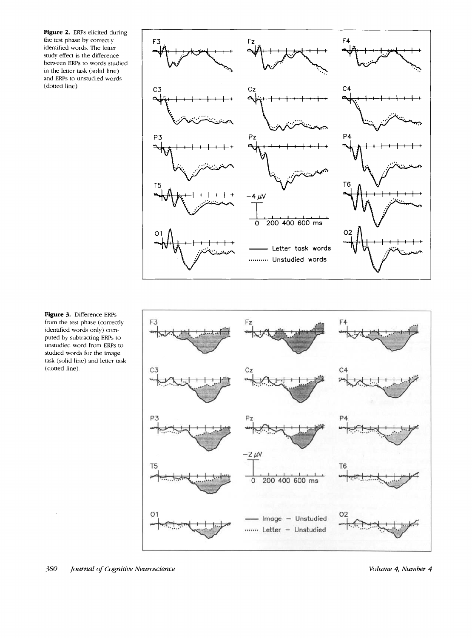**Figure 2.** ERPs elicited during the test phase by correctly identified words. The letter study effect is the difference between ERPs to words studied in the letter task (solid line) and ERPs to unstudied words (dotted line)





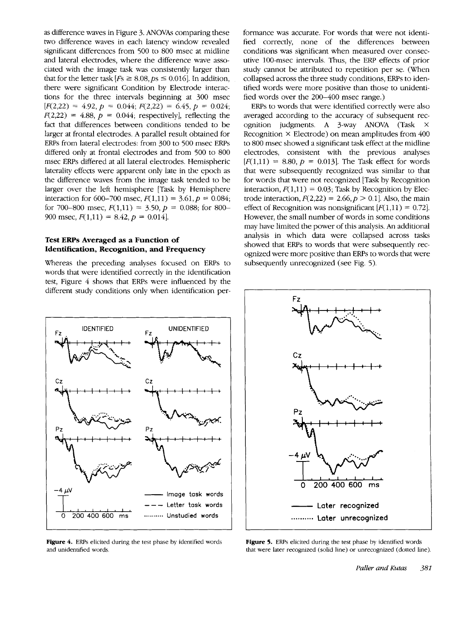as difference waves in Figure 3. ANOVAs comparing these two difference waves in each latency window revealed significant differences from 500 to 800 msec at midline and lateral electrodes, where the difference wave associated with the image task was consistently larger than that for the letter task  $[Fs \geq 8.08, ps \leq 0.016]$ . In addition, there were significant Condition by Electrode interactions for the three intervals beginning at 300 msec  $[F(2,22) = 4.92, p = 0.044; F(2,22) = 6.45, p = 0.024;$  $F(2,22) = 4.88$ ,  $p = 0.044$ ; respectively], reflecting the fact that differences between conditions tended to be larger at frontal electrodes. **A** parallel result obtained for ERPs from lateral electrodes: from 300 to 500 msec ERPs differed only at frontal electrodes and from 500 to *800*  msec ERPs differed at all lateral electrodes. Hemispheric laterality effects were apparent only late in the epoch as the difference waves from the image task tended to be larger over the left hemisphere [Task by Hemisphere interaction for 600–700 msec,  $F(1,11) = 3.61, p = 0.084;$ for 700-800 msec,  $F(1,11) = 3.50, p = 0.088$ ; for 800-900 msec,  $F(1,11) = 8.42, p = 0.014$ .

# **Test ERPs Averaged as a Function of Identification, Recognition, and Frequency**

Whereas the preceding analyses focused on ERPs to words that were identified correctly in the identification test, Figure 4 shows that ERPs were influenced by the different study conditions only when identification performance was accurate. For words that were not identified correctly, none of the differences between conditions was significant when measured over consecutive 100-msec intervals. Thus, the ERP effects of prior study cannot be attributed to repetition per se. (When collapsed across the three study conditions, ERPs to identified words were more positive than those to unidentified words over the 200-400 msec range.)

ERPs to words that were identified correctly were also averaged according to the accuracy of subsequent recognition judgments. A 3-way ANOVA (Task X Recognition  $\times$  Electrode) on mean amplitudes from 400 to 800 msec showed a significant task effect at the midline electrodes, consistent with the previous analyses  $[F(1,11) = 8.80, p = 0.013]$ . The Task effect for words that were subsequently recognized was similar to that for words that were not recognized [Task by Recognition interaction,  $F(1,11) = 0.03$ ; Task by Recognition by Electrode interaction,  $F(2,22) = 2.66, p > 0.1$ . Also, the main effect of Recognition was nonsignificant  $F(1,11) = 0.72$ . However, the small number of words in some conditions may have limited the power of this analysis. **An** additional analysis in which data were collapsed across tasks showed that ERPs to words that were subsequently recognized were more positive than ERPs to words that were subsequently unrecognized (see Fig. *5).* 



**Figure** *4.* ERPs elicited during the test phase by identified words and unidentified words.



Figure 5. ERPs elicited during the test phase by identified words that were later recognized (solid line) or unrecognized (dotted line).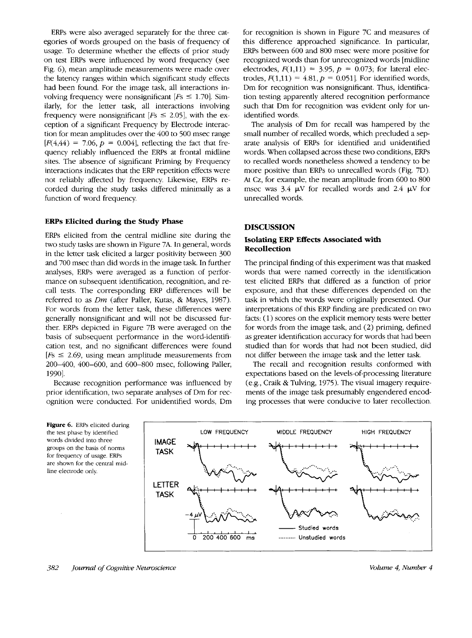ERPs were also averaged separately for the three categories of words grouped on the basis of frequency of usage. To determine whether the effects of prior study on test ERPs were influenced by word frequency (see Fig. 6), mean amplitude measurements were made over the latency ranges within which significant study effects had been found. For the image task, all interactions involving frequency were nonsignificant  $[Fs \leq 1.70]$ . Similarly, for the letter task, all interactions involving frequency were nonsignificant  $[Fs \le 2.05]$ , with the exception of a significant Frequency by Electrode interaction for mean amplitudes over the 400 to *500* msec range  $[F(4,44) = 7.06, p = 0.004]$ , reflecting the fact that frequency reliably influenced the ERPs at frontal midline sites. The absence of significant Priming by Frequency interactions indicates that the ERP repetition effects were not reliably affected by frequency. Likewise, ERPs recorded during the study tasks differed minimally as a function of word frequency.

#### **ERPs Elicited during the Study Phase**

ERPs elicited from the central midline site during the two study tasks are shown in Figure 7A. In general, words in the letter task elicited a larger positivity between 300 and 700 msec than did words in the image task. In further analyses, ERPs were averaged as a function of performance on subsequent identification, recognition, and recall tests. The corresponding ERP differences will be referred to as *Dm* (after Paller, Kutas, & Mayes, 1987). For words from the letter task, these differences were generally nonsignificant and will not be discussed further. ERPs depicted in Figure 7B were averaged on the basis of subsequent performance in the word-identification test, and no significant differences were found  $[F_s \leq 2.69]$ , using mean amplitude measurements from *200-400, 400-600,* and *600-800* msec, following Paller, 1990].

Because recognition performance was influenced by prior identification, two separate analyses of Dm for recognition were conducted. For unidentified words, Dm



for recognition is shown in Figure 7C and measures of

The analysis of Dm for recall was hampered by the small number of recalled words, which precluded a separate analysis of ERPs for identified and unidentified words. When collapsed across these two conditions, ERPs to recalled words nonetheless showed a tendency to be more positive than ERPs to unrecalled words (Fig. 7D). At Cz, for example, the mean amplitude from 600 to 800 msec was  $3.4 \mu V$  for recalled words and  $2.4 \mu V$  for unrecalled words.

## **DISCUSSION**

#### **Isolating ERP Effects Associated with Recollection**

The principal finding of this experiment was that masked words that were named correctly in the identification test elicited ERPs that differed as a function of prior exposure, and that these differences depended on the task in which the words were originally presented. Our interpretations of this ERP finding are predicated on two facts: (1) scores on the explicit memory tests were better for words from the image task, and *(2)* priming, defined as greater identification accuracy for words that had been studied than for words that had not been studied, did not differ between the image task and the letter task.

The recall and recognition results conformed with expectations based on the levels-of-processing literature (e.g., Craik & Tulving, 1975). The visual imagery requirements of the image task presumably engendered encoding processes that were conducive to later recollection.



**Figure** *6.* ERPs elicited during the test phase by identified words divided into three groups on the basis of norms for frequency of usage. ERPs are shown for the central midline electrode only.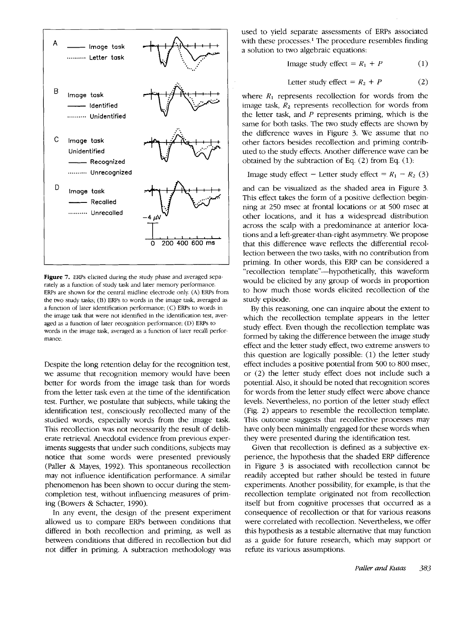

**Figure 7.** ERPs elicited during the study phase and averaged separately as a function of study task and later memory performance. ERPs are shown for the central midline electrode only. **(A)** ERPs from the two study tasks; (B) ERPs to words in the image task, averaged as a function of later identification performance; (C) ERPs to words in the image task that were not identified in the identification test, averaged **as** a function of later recognition performance; (D) ERPs to words in the image task, averaged as a function of later recall performance.

Despite the long retention delay for the recognition test, we assume that recognition memory would have been better for words from the image task than for words from the letter task even at the time of the identification test. Further, we postulate that subjects, while taking the identification test, consciously recollected many of the studied words, especially words from the image task. This recollection was not necessarily the result of deliberate retrieval. Anecdotal evidence from previous experiments suggests that under such conditions, subjects may notice that some words were presented previously (Paller & Mayes, 1992). This spontaneous recollection may not influence identification performance. **A** similar phenomenon has been shown to occur during the stemcompletion rest, without influencing measures of priming (Bowers & Schacter, 1990).

In any event, the design of the present experiment allowed us to compare ERPs between conditions that differed in both recollection and priming, as well as between conditions that differed in recollection but did not differ in priming. **A** subtraction methodology was used to yield separate assessments of ERPs associated with these processes.<sup>1</sup> The procedure resembles finding a solution to two algebraic equations:

Image study effect = 
$$
R_1 + P
$$
 (1)

$$
Letter study effect = R_2 + P \tag{2}
$$

where  $R_1$  represents recollection for words from the image task,  $R_2$  represents recollection for words from the letter task, and *P* represents priming, which is the same for both **tasks.** The **two** study effects are 5hown by the difference waves in Figure 3. We assume that no other factors besides recollection and priming contributed to the study effects. Another difference wave can be obtained by the subtraction of **Eq.** *(2)* from **Eq.** (1):

Image study effect - Letter study effect =  $R_1 - R_2$  (3)

and can be visualized as the shaded area in Figure 3. This effect takes the form of a positive deflection beginning at 250 msec at frontal locations or at 500 msec at other locations, and it has a widespread distribution across the scalp with a predominance at anterior locations and a left-greater-than-right asymmetry. We propose that this difference wave reflects the differential recollection between the **two** tasks, with no contribution from priming. In other words, this ERP can be considered a "recollection template"-hypothetically, this waveform would be elicited by any group of words in proportion to how much those words elicited recollection of the study episode.

By this reasoning, one can inquire about the extent to which the recollection template appears in the letter study effect. Even though the recollection template was formed by taking the difference between the image study effect and the letter study effect, two extreme answers to this question are logically possible: (1) the letter study effect includes a positive potential from 500 to 800 msec, or (2) the letter study effect does not include such a potential. Also, it should be noted that recognition scores for words from the letter study effect were above chance levels. Nevertheless, no portion of the letter study effect (Fig. 2) appears to resemble the recollection template. This outcome suggests that recollective processes may have only been minimally engaged for these words when they were presented during the identification test.

Given that recollection is defined as a subjective experience, the hypothesis that the shaded ERP difference in Figure 3 is associated with recollection cannot be readily accepted but rather should be tested in future experiments. Another possibility, for example, is that the recollection template originated not from recollection itself but from cognitive processes that occurred **as** a consequence of recollection or that for various reasons were correlated with recollection. Nevertheless, we offer this hypothesis as a testable alternative that may function as a guide for future research, which may support or refute its various assumptions.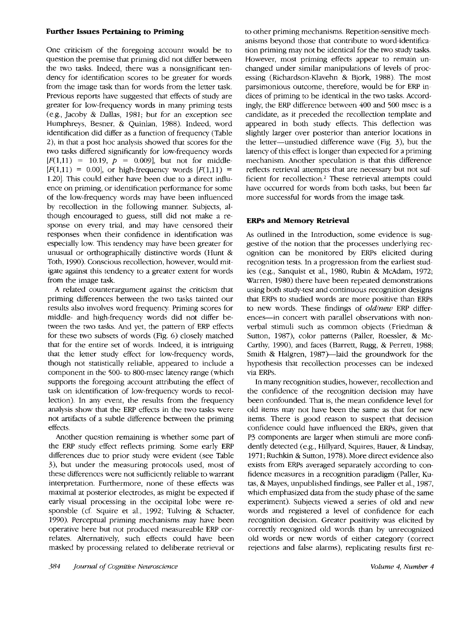#### **Further Issues Pertaining to Priming**

One criticism of the foregoing account would be to question the premise that priming did not differ between the two tasks. Indeed, there was a nonsignificant tendency for identification scores to be greater for words from the image task than for words from the letter task. Previous reports have suggested that effects of study are greater for low-frequency words in many priming tests (e.g., Jacoby & Dallas, 1981; but for an exception see Humphreys, Besner, & Quinlan, 1988). Indeed, word identification did differ as a function of frequency (Table 2), in that a post hoc analysis showed that scores for the two tasks differed significantly for low-frequency words  $[F(1,11) = 10.19, p = 0.009]$ , but not for middle- $[F(1,11) = 0.00]$ , or high-frequency words  $[F(1,11) =$ 1.20]. This could either have been due to a direct influence on priming, or identification performance for some of the low-frequency words may have been influenced by recollection in the following manner. Subjects, although encouraged to guess, still did not make a response on every trial, and may have censored their responses when their confidence in identification was especially low. This tendency may have been greater for unusual or orthographically distinctive words (Hunt & Toth, 1990). Conscious recollection, however, would mitigate against this tendency to a greater extent for words from the image task.

A related counterargument against the criticism that priming differences between the two **tasks** tainted our results also involves word frequency. Priming scores for middle- and high-frequency words did not differ between the two tasks. And yet, the pattern of ERP effects for these two subsets of words (Fig. 6) closely matched that for the entire set of words. Indeed, it is intriguing that the letter study effect for low-frequency words, though not statistically reliable, appeared to include a component in the 500- to 800-msec latency range (which supports the foregoing account attributing the effect of task on identification of low-frequency words to recollection). In any event, the results from the frequency analysis show that the ERP effects in the two tasks were not artifacts of a subtle difference between the priming effects.

Another question remaining is whether some part of the ERP study effect reflects priming. Some early ERP differences due to prior study were evident (see Table *3),* but under the measuring protocols used, most of these differences were not sufficiently reliable to warrant interpretation. Furthermore, none of these effects was maximal at posterior electrodes, as might be expected if early visual processing in the occipital lobe were responsble (cf. Squire et al., 1992; Tulving & Schacter, 1990). Perceptual priming mechanisms may have been operative here but not produced measureable ERP correlates. Alternatively, such effects could have been masked by processing related to deliberate retrieval or

to other priming mechanisms. Repetition-sensitive mechanisms beyond those that contribute to word-identification priming may not be identical for the two study tasks. However, most priming effects appear to remain unchanged under similar manipulations of levels of processing (Richardson-Klavehn & Bjork, 1988). The most parsimonious outcome, therefore, would be for ERP indices of priming to be identical in the two tasks. Accordingly, the ERP difference between *400* and 500 msec is a candidate, as it preceded the recollection template and appeared in both study effects. This deflection was slightly larger over posterior than anterior locations in the letter-unstudied difference wave (Fig. 3), but the latency of this effect is longer than expected for a priming mechanism. Another speculation is that this difference reflects retrieval attempts that are necessary but not sufficient for recollection.<sup>2</sup> These retrieval attempts could have occurred for words from both tasks, but been far more successful for words from the image task.

#### **ERPs and Memory Retrieval**

**As** outlined in the Introduction, some evidence is suggestive of the notion that the processes underlying recognition can be monitored by ERPs elicited during recognition tests. In a progression from the earliest studies (e.g., Sanquist et al., 1980, Rubin & McAdam, 1972; Warren, 1980) there have been repeated demonstrations using both study-test and continuous recognition designs that ERPs to studied words are more positive than ERPs to new words. These findings of *old/new* ERP differences-in concert with parallel observations with nonverbal stimuli such as common objects (Friedman & Sutton, 1987), color patterns (Paller, Roessler, & Mc-Carthy, 1990), and faces (Barrett, Rugg, & Perrett, 1988; Smith & Halgren,  $1987$ )—laid the groundwork for the hypothesis that recollection processes can be indexed via ERPs.

In many recognition studies, however, recollection and the confidence of the recognition decision may have been confounded. That is, the mean confidence level for old items may not have been the same as that for new items. There is good reason to suspect that decision confidence could have influenced the ERPs, given that P3 components are larger when stimuli are more confidently detected (e.g., Hillyard, Squires, Bauer, & Lindsay, 1971; Ruchkin & Sutton, 1978). More direct evidence also exists from ERPs averaged separately according to confidence measures in a recognition paradigm (Paller, Kutas, & Mayes, unpublished findings, see Paller et al., 1987, which emphasized data from the study phase of the same experiment). Subjects viewed a series of old and new words and registered a level of confidence for each recognition decision. Greater positivity was elicited by correctly recognized old words than by unrecognized old words or new words of either category (correct rejections and false alarms), replicating results first re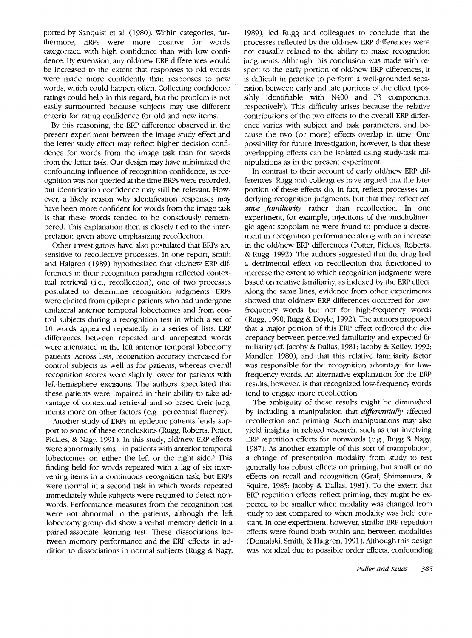ported by Sanquist et al. (1980). Within categories, furthermore, ERPs were more positive for words categorized with high confidence than with low confidence. By extension, any old/new ERP differences would be increased to the extent that responses to old words were made more confidently than responses to new words, which could happen often. Collecting confidence ratings could help in this regard, but the problem is not easily surmounted because subjects may use different criteria for rating confidence for old and new items.

By this reasoning, the ERP difference observed in the present experiment between the image study effect and the letter study effect may reflect higher decision confidence for words from the image task than for words from the letter task. Our design may have minimized the confounding influence of recognition confidence, as recognition was not queried at the time ERPs were recorded, but identification confidence may still be relevant. However, a likely reason why identification responses may have been more confident for words from the image task is that these words tended to be consciously remembered. This explanation then is closely tied to the interpretation given above emphasizing recollection.

Other investigators have also postulated that ERPs are sensitive to recollective processes. In one report, Smith and Halgren (1989) hypothesized that old/new ERP differences in their recognition paradigm reflected contextual retrieval (i.e., recollection), one of two processes postulated to determine recognition judgments. ERPs were elicited from epileptic patients who had undergone unilateral anterior temporal lobectomies and from control subjects during a recognition test in which a set of 10 words appeared repeatedly in a series of lists. ERP differences between repeated and unrepeated words were attenuated in the left anterior temporal lobectomy patients. Across lists, recognition accuracy increased for control subjects as well as for patients, whereas overall recognition scores were slightly lower for patients with left-hemisphere excisions. The authors speculated that these patients were impaired in their ability to take advantage of contextual retrieval and so based their judgments more on other factors (e.g., perceptual fluency).

Another study of ERPs in epileptic patients lends support to some of these conclusions (Rugg, Roberts, Potter, Pickles, & Nagy, 1991). In this study, old/new ERP effects were abnormally small in patients with anterior temporal lobectomies on either the left or the right side.<sup>3</sup> This finding held for words repeated with a lag of six intervening items in a continuous recognition task, but ERPs were normal in a second task in which words repeated immediately while subjects were required to detect nonwords. performance measures from the recognition test were not abnormal in the patients, although the left lobectomy group did show a verbal memory deficit in a paired-associate learning test. These dissociations between memory performance and the ERP effects, in addition to dissociations in normal subjects (Rugg & Nagy,

1989), led Rugg and colleagues to conclude that the processes reflected by the old/new ERP differences were not causally related to the ability to make recognition judgments. Although this conclusion was made with respect to the early portion of old/new ERP differences, it is difficult in practice to perform a well-grounded separation between early and late portions of the effect (possibly identifiable with *N400* and P3 components, respectively). This difficulty arises because the relative contributions of the two effects to the overall ERP difference varies with subject and task parameters, and because the two (or more) effects overlap in time. One possibility for future investigation, however, is that these overlapping effects can be isolated using study-task manipulations as in the present experiment.

In contrast to their account of early old/new ERP differences, Rugg and colleagues have argued that the later portion of these effects do, in fact, reflect processes underlying recognition judgments, but that they reflect *relative familiarity* rather than recollection. In one experiment, for example, injections of the anticholinergic agent scopolamine were found to produce a decrement in recognition performance along with an increase in the old/new ERP differences (Potter, Pickles, Roberts, & Rugg, 1992). The authors suggested that the drug had a detrimental effect on recollection that functioned to increase the extent to which recognition judgments were based on relative familiarity, as indexed by the ERP effect. Along the same lines, evidence from other experiments showed that old/new ERP differences occurred for lowfrequency words but not for high-frequency words (Rugg, 1990; Rugg & Doyle, 1992). The authors proposed that a major portion of this ERP effect reflected the discrepancy between perceived familiarity and expected familiarity (cf. Jacoby & Dallas, 1981; Jacoby & Kelley, 1992; Mandler, 1980), and that this relative familiarity factor was responsible for the recognition advantage for lowfrequency words. An alternative explanation for the ERP results, however, is that recognized low-frequency words tend to engage more recollection.

The ambiguity of these results might be diminished by including a manipulation that *differentially* affected recollection and priming. Such manipulations may also yield insights in related research, such **as** that involving ERP repetition effects for nonwords (e.g., Rugg & Nagy, 1987). **As** another example of this sort of manipulation, a change of presentation modality from study to test generally has robust effects on priming, but small or no effects on recall and recognition (Graf, Shimamura, & Squire, 1985; Jacoby & Dallas, 1981). To the extent that ERP repetition effects reflect priming, they might be expected to be smaller when modality was changed from study to test compared to when modality was held constant. In one experiment, however, similar ERP repetition effects were found both within and between modalities (Domalski, Smith, & Halgren, 1991). Although this design was not ideal due to possible order effects, confounding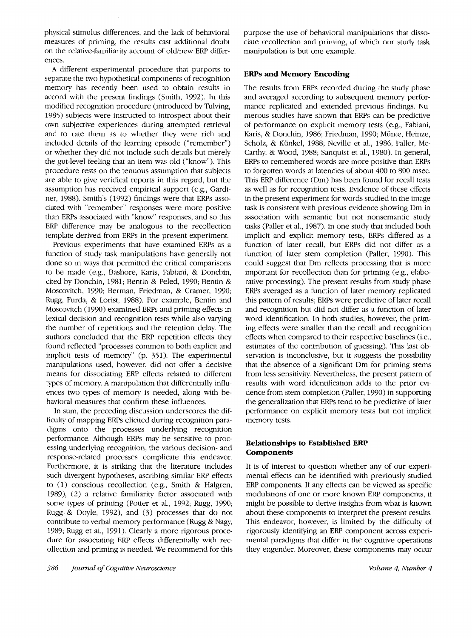physical stimulus differences, and the lack of behavioral measures of priming, the results cast additional doubt on the relative-familiarity account of old/new ERP differences.

**<sup>A</sup>**different experimental procedure that purports to separate the two hypothetical components of recognition memory has recently been used to obtain results in accord with the present findings (Smith, 1992). In this modified recognition procedure (introduced by Tulving, 1985) subjects were instructed to introspect about their own subjective experiences during attempted retrieval and to rate them as to whether they were rich and included details of the learning episode ("remember") or whether they did not include such details but merely the gut-level feeling that an item was old ("know"). This procedure rests on the tenuous assumption that subjects are able to give veridical reports in this regard, but the assumption has received empirical support (e.g., Gardiner, 1988). Smith's (1992) findings were that ERPs associated with "remember" responses were more positive than ERPs associated with "know" responses, and so this ERP difference may be analogous to the recollection template derived from ERPs in the present experiment.

Previous experiments that have examined ERPs as a function of study task manipulations have generally not done so in ways that permitted the critical comparisons to be made (e.g., Bashore, Karis, Fabiani, & Donchin, cited by Donchin, 1981; Bentin & Peled, 1990; Bentin & Moscovitch, 1990; Berman, Friedman, & Cramer, 1990; Rug, Furda, & Lorist, 1988). For example, Bentin and Moscovitch (1990) examined ERPs and priming effects in lexical decision and recognition tests while also varying the number of repetitions and the retention delay. The authors concluded that the ERP repetition effects they found reflected "processes common to both explicit and implicit tests of memory" (p. 351). The experimental manipulations used, however, did not offer a decisive means for dissociating ERP effects related to different types of memory. **A** manipulation that differentially influences two types of memory is needed, along with behavioral measures that confirm these influences.

In sum, the preceding discussion underscores the difficulty of mapping ERPs elicited during recognition paradigms onto the processes underlying recognition performance. Although ERPs may be sensitive to processing underlying recognition, the various decision- and response-related processes complicate this endeavor. Furthermore, it is striking that the literature includes such divergent hypotheses, ascribing similar ERP effects to (1) conscious recollection (e.g., Smith & Halgren, 1989), (2) a relative familiarity factor associated with some types of priming (Potter et al., 1992; Rugg, 1990; Rugg & Doyle, 1992), and *(3)* processes that do not contribute to verbal memory performance (Rugg & Nagy, 1989; Rugg et al., 1991). Clearly a more rigorous procedure for associating ERP effects differentially with recollection and priming is needed. We recommend for this purpose the use of behavioral manipulations that dissociate recollection and priming, of which our study task manipulation is but one example.

# **ERPs and Memory Encoding**

The results from ERPs recorded during the study phase and averaged according to subsequent memory performance replicated and extended previous findings. Numerous studies have shown that ERPs can be predictive of performance on explicit memory tests (eg, Fabiani, Karis, & Donchin, 1986; Friedman, 1990; Münte, Heinze, Scholz, & Kunkel, 1988; Neville et al., 1986; Paller, Mc-Carthy, & Wood, 1988; Sanquist et al., 1980). In general, ERPs to remembered words are more positive than ERPs to forgotten words at latencies of about *400* to 800 msec. This ERP difference (Dm) has been found for recall tests as well as for recognition tests. Evidence of these effects in the present experiment for words studied in the image task is consistent with previous evidence showing Dm in association with semantic but not nonsemantic study tasks (Paller et al., 1987). In one study that included both implicit and explicit memory tests, ERPs differed as a function of later recall, but ERPs did not differ as a function of later stem completion (Paller, 1990). This could suggest that Dm reflects processing that is more important for recollection than for priming (e.g., elaborative processing). The present results from study phase ERPs averaged as a function of later memory replicated this pattern of results; ERPs were predictive of later recall and recognition but did not differ as a function of later word identification. In both studies, however, the priming effects were smaller than the recall and recognition effects when compared to their respective baselines (i.e., estimates of the contribution of guessing). This last observation is inconclusive, but it suggests the possibility that the absence of a significant Dm for priming stems from less sensitivity. Nevertheless, the present pattern of results with word identification adds to the prior evidence from stem completion (Paller, 1990) in supporting the generalization that ERPs tend to be predictive of later performance on explicit memory tests but not implicit memory tests.

# **Relationships to Established ERP Components**

It is of interest to question whether any of our experimental effects can be identified with previously studied ERP components. If any effects can be viewed as specific modulations of one or more known ERP components, it might be possible to derive insights from what is known about these components to interpret the present results. This endeavor, however, is limited by the difficulty of rigorously identifying an ERP component across experimental paradigms that differ in the cognitive operations they engender. Moreover, these components may occur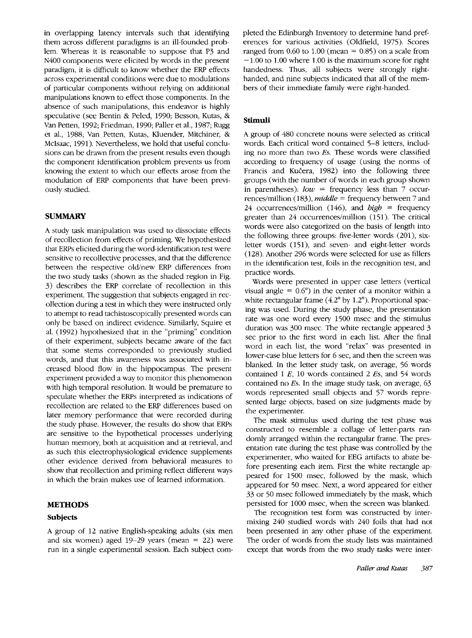in overlapping latency intervals such that identifying them across different paradigms is an ill-founded problem. Whereas it is reasonable to suppose that P3 and *N400* components were elicited by words in the present paradigm, it is difficult to know whether the ERP effects across experimental conditions were due to modulations of particular components without relying on additional manipulations known to effect those components. In the absence of such manipulations, this endeavor is highly speculative (see Bentin & Peled, 1990; Besson, Kutas, & Van Petten, 1992; Friedman, 1990; Paller et al., 1987; Rugg et al., 1988; Van Petten, Kutas, Kluender, Mitchiner, & McIsaac, 1991). Nevertheless, we hold that useful conclusions can be drawn from the present results even though the component identification problem prevents us from knowing the extent to which our effects arose from the modulation of ERP components that have been previously studied.

# **SUMMARY**

**A** study task manipulation was used to dissociate effects of recollection from effects of priming. We hypothesized that ERPs elicited during the word-identification test were sensitive to recollective processes, and that the difference between the respective old/new ERP differences from the two study tasks (shown as the shaded region in Fig. 3) describes the ERP correlate of recollection in this experiment. The suggestion that subjects engaged in recollection during a test in which they were instructed only to attempt to read tachistoscopically presented words can only be based on indirect evidence. Similarly, Squire et al. (1992) hypothesized that in the "priming" condition of their experiment, subjects became aware of the fact that some stems corresponded to previously studied words, and that this awareness was associated with increased blood flow in the hippocampus. The present experiment provided a way to monitor this phenomenon with high temporal resolution. It would be premature to speculate whether the ERPs interpreted as indications of recollection are related to the ERP differences based on later memory performance that were recorded during the study phase. However, the results do show that ERPs are sensitive to the hypothetical processes underlying human memory, both at acquisition and at retrieval, and as such this electrophysiological evidence supplements other evidence derived from behavioral measures to show that recollection and priming reflect different ways in which the brain makes use of learned information.

# **METHODS**

# **Subjects**

**A** group of 12 native English-speaking adults (six men and six women) aged  $19-29$  years (mean = 22) were run in a single experimental session. Each subject completed the Edinburgh Inventory to determine hand preferences for various activities (Oldfield, 1975). Scores ranged from  $0.60$  to  $1.00$  (mean = 0.85) on a scale from  $-1.00$  to 1.00 where 1.00 is the maximum score for right handedness. Thus, all subjects were strongly righthanded, and nine subjects indicated that all of the members of their immediate family were right-handed.

#### **stimuli**

**A** group of 480 concrete nouns were selected as critical words. Each critical word contained *5-8* letters, including no more than two *Es.* These words were classified according to frequency of usage (using the norms of Francis and Kučera, 1982) into the following three groups (with the number of words in each group shown in parentheses):  $low = frequency$  less than 7 occurrences/million (183), *middle* = frequency between 7 and 24 occurrences/million (146), and  $high = frequency$ greater than 24 occurrences/million (151). The critical words were also categorized on the basis of length into the following three groups: five-letter words (201), sixletter words (151), and seven- and eight-letter words (128). Another 296 words were selected for use as fillers in the identification test, foils in the recognition test, and practice words.

Words were presented in upper case letters (vertical visual angle  $= 0.6^{\circ}$ ) in the center of a monitor within a white rectangular frame (4.2° by 1.2°). Proportional spacing was used. During the study phase, the presentation rate was one word every 1500 msec and the stimulus duration was 300 msec. The white rectangle appeared *3*  sec prior to the first word in each list. After the final word in each list, the word "relax" was presented in lower-case blue letters for 6 sec, and then the screen was blanked. In the letter study task, on average, 56 words contained 1 *E,* 10 words contained 2 *Es,* and *54* words contained no *Es.* In the image study task, on average, 63 words represented small objects and 57 words represented large objects, based on size judgments made by the experimenter.

The mask stimulus used during the test phase was constructed to resemble a collage of letter-parts randomly arranged within the rectangular frame. The presentation rate during the test phase was controlled by the experimenter, who waited for EEG artifacts to abate before presenting each item. First the white rectangle appeared for 1500 msec, followed by the mask, which appeared for 50 msec. Next, a word appeared for either *33* or 50 msec followed immediately by the mask, which persisted for 1000 msec, when the screen was blanked.

The recognition test form was constructed by intermixing 240 studied words with 240 foils that had not been presented in any other phase of the experiment. The order of words from the study lists was maintained except that words from the two study tasks were inter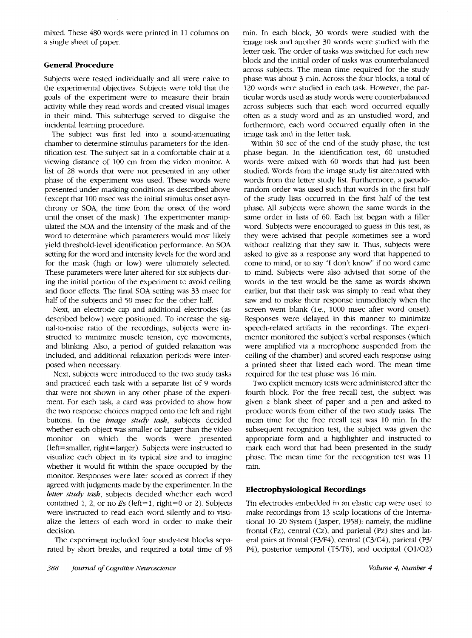mixed. These *480* words were printed in 11 columns on a single sheet of paper.

# **General Procedure**

Subjects were tested individually and all were naive to the experimental objectives. Subjects were told that the goals of the experiment were to measure their brain activity while they read words and created visual images in their mind. This subterfuge served to disguise the incidental learning procedure.

The subject was first led into a sound-attenuating chamber to determine stimulus parameters for the identification test. The subject sat in a comfortable chair at a viewing distance of 100 cm from the video monitor. A list of 28 words that were not presented in any other phase of the experiment was used. These words were presented under masking conditions as described above (except that 100 msec was the initial stimulus onset asynchrony or SOA, the time from the onset of the word until the onset of the mask). The experimenter manipulated the SOA and the intensity of the mask and of the word to determine which parameters would most likely yield threshold-level identification performance. **An** SOA setting for the word and intensity levels for the word and for the mask (high or low) were ultimately selected. These parameters were later altered for six subjects during the initial portion of the experiment to avoid ceiling and floor effects. The final SOA setting was 33 msec for half of the subjects and 50 msec for the other half.

Next, an electrode cap and additional electrodes (as described below) were positioned. To increase the signal-to-noise ratio of the recordings, subjects were instructed to minimize muscle tension, eye movements, and blinking. Also, a period of guided relaxation was included, and additional relaxation periods were interposed when necessary.

Next, subjects were introduced to the two study tasks and practiced each task with a separate list of 9 words that were not shown in any other phase of the experiment. For each task, a card was provided to show how the two response choices mapped onto the left and right buttons. In the *image study task.,* subjects decided whether each object was smaller or larger than the video monitor on which the words were presented (left=smaller, right= larger). Subjects were instructed to visualize each object in its typical size and to imagine whether it would fit within the space occupied by the monitor. Responses were later scored as correct if they agreed with judgments made by the experimenter. In the *letter study task,* subjects decided whether each word contained 1, 2, or no *Es* (left=l, right=O or *2).* Subjects were instructed to read each word silently and to visualize the letters of each word in order to make their decision.

The experiment included four study-test blocks separated by short breaks, and required a total time of 93 min. In each block, 30 words were studied with the image task and another 30 words were studied with the letter task. The order of tasks was switched for each new block and the initial order of tasks was counterbalanced across subjects. The mean time required for the study phase was about 3 min. Across the four blocks, a total of 120 words were studied in each task. However, the particular words used as study words were counterbalanced across subjects such that each word occurred equally often as a study word and as an unstudied word, and furthermore, each word occurred equally often in the image task and in the letter task.

Within 30 sec of the end of the study phase, the test phase began. In the identification test, 60 unstudied words were mixed with 60 words that had just been studied. Words from the image study list alternated with words from the letter study list. Furthermore, a pseudorandom order was used such that words in the first half of the study lists occurred in the first half of the test phase. All subjects were shown the same words in the same order in lists of 60. Each list began with a filler word. Subjects were encouraged to guess in this test, **as**  they were advised that people sometimes see a word without realizing that they saw it. Thus, subjects were asked to give as a response any word that happened to come to mind, or to say "I don't know" if no word came to mind. Subjects were also advised that some of the words in the test would be the same as words shown earlier, but that their task was simply to read what they saw and to make their response immediately when the screen went blank (i.e., 1000 msec after word onset). Responses were delayed in this manner to minimize speech-related artifacts in the recordings. The experimenter monitored the subject's verbal responses (which were amplified via a microphone suspended from the ceiling of the chamber) and scored each response using a printed sheet that listed each word. The mean time required for the test phase was 16 min.

Two explicit memory tests were administered after the fourth block. For the free recall test, the subject was given a blank sheet of paper and a pen and asked to produce words from either of the two study tasks. The mean time for the free recall test was 10 min. In the subsequent recognition test, the subject was given the appropriate form and a highlighter and instructed to mark each word that had been presented in the study phase. The mean time for the recognition test was 11 min.

#### **Electrophysiological Recordings**

Tin electrodes embedded in an elastic cap were used to make recordings from 13 scalp locations of the International 10-20 System (Jasper, 1958): namely, the midline frontal **(Fz),** central (Cz), and parietal (Pz) sites and lateral pairs at frontal (F3/F4), central (C3/C4), parietal (P3/ P4), posterior temporal (T5/T6), and occipital (01/02)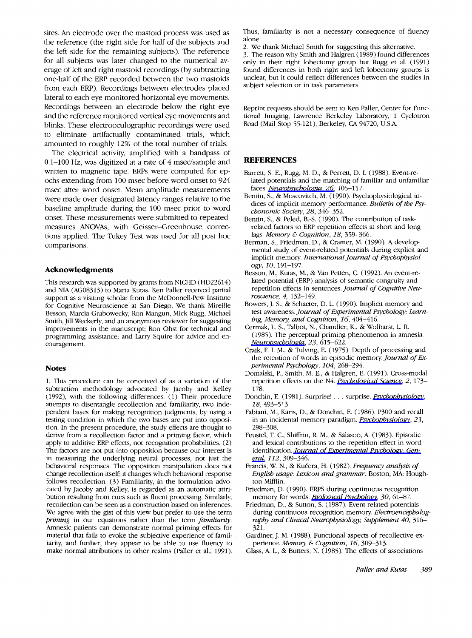sites. An electrode over the mastoid process was used as the reference (the right side for half of the subjects and the left side for the remaining subjects). The reference for all subjects was later changed to the numerical average of left and right mastoid recordings (by subtracting one-half of the ERP recorded between the two mastoids from each ERP). Recordings between electrodes placed lateral to each eye monitored horizontal eye movements. Recordings between an electrode below the right eye and the reference monitored vertical eye movements and blinks. These electrooculographic recordings were used to eliminate artifactually contaminated trials, which amounted to roughly 12% of the total number of trials.

The electrical activity, amplified with a bandpass of 0.1-100 Hz, was digitized at a rate of 4 msec/sample and written to magnetic tape. ERPs were computed for epochs extending from 100 msec before word onset to *924*  msec after word onset. Mean amplitude measurements were made over designated latency ranges relative to the baseline amplitude during the 100 msec prior to word onset. These measurements were submitted to repeatedmeasures ANOVAS, with Geisser-Greenhouse corrections applied. The Tukey Test was used for all post hoc comparisons.

#### **Acknowledgments**

This research was supported by grants from NICHD (HD22614) and NIA (AG08313) to Marta Kutas. Ken Paller received partial support as a visiting scholar from the McDonnell-Pew Institute for Cognitive Neuroscience at San Diego. We thank Mireille Besson, Marcia Grabowecky, Ron Mangun, Mick Rugg, Michael Smith, Jill Weckerly, and an anonymous reviewer for suggesting improvements in the manuscript; Ron Ohst for technical and programming assistance; and Larry Squire for advice and encouragement.

#### **Notes**

1. This procedure can be conceived of as a variation of the subtraction methodology advocated by Jacoby and Kelley (1992), with the following differences. (1) Their procedure attempts to disentangle recollection and familiarity, two independent bases for making recognition judgments, by using a testing condition in which the two bases are put into opposition. In the present procedure, the study effects are thought to derive from a recollection factor and a priming factor, which apply to additive ERP effects, not recognition probabilities. *(2)*  The factors are not put into opposition because our interest is in measuring the underlying neural processes, not just the behavioral responses. The opposition manipulation does not change recollection itself; it changes which behavioral response follows recollection. (3) Familiarity, in the formulation advocated by Jacoby and Kelley, is regarded as an automatic attribution resulting from cues such as fluent processing. Similarly, recollection can be seen as a construction based on inferences. We agree with the gist of this view but prefer to use the term *priming* in our equations rather than the term *familiarity.*  Amnesic patients can demonstrate normal priming effects for material that fails to evoke the subjective experience of familiarity, and further, they appear to be able to use fluency to make normal attributions in other realms (Paller et al., 1991).

Thus, familiarity is not a necessary consequence of fluency alone.

*2.* We thank Michael Smith for suggesting this alternative.

3. The reason why Smith and Halgren (1989) found differences only in their right lobectomy group but Rugg et al. (1991) found differences in both right and left lobectomy groups is unclear, but it could reflect differences between the studies in subject selection or in task parameters.

Reprint requests should be sent to Ken Paller, Center for Functional Imaging, Lawrence Berkeley Laboratory, 1 Cyclotron Road (Mail Stop 55-121), Berkeley, *CA* 94720, U.S.A.

# **REFERENCES**

- Barrett, **S.** E., Rugg, M. D., & Perrett, D. I. (1988). Event-related potentials and the matching of familiar and unfamiliar faces. *Neuropsychologia,* 26, 105-117.
- dices of implicit memory performance. *Bulletin of the Psychonomic Society,* 28,346-352. Bentin, **S.,** & Moscovitch, M. (1990). Psychophysiological in-
- related factors to ERP repetition effects at short and long lags. *Memory* & *Cognition,* 18, 359-366. Bentin, **S.,** & Peled, B.-S. (1990). The contribution of task-
- Berman, **S.,** Friedman, D., & Cramer, M. (1990). A developmental study of event-related potentials during explicit and implicit memory. *International Journal of Psychopbysiol-***O~Y,** 10, 191-197.
- Besson, M., Kutas, M., & Van Petten, C. (1992). **An** event-related potential (ERP) analysis of semantic congruity and repetition effects in sentences. *Journal of Cognitive Neuroscience,* 4, 132-149.
- Bowers, J. **S.,** & Schacter, D. L. (1990). Implicit memory and test awareness. *Journal of Experimental Psychology: Learning, Memory, and Cognition,* 16,404-416.
- (1985). The perceptual priming phenomenon in amnesia. *Neuropsychologia,* 23,615-622. Cermak, L. **S.,** Talbot, N., Chandler, K., & Wolbarst, L. R.
- Craik, F. I. M., & Tulving, E. (1975). Depth of processing and the retention of words in episodic memory. *Journal of Experimental Psychology,* 104, 268-294.
- Domalski, P., Smith, M. E., & Halgren, E. (1991). Cross-modal repetition effects on the N4. *Psychological Science,* 2, 173- 178.
- Donchin, E. (1981). Surprise! . . . surprise. *Psychopbysiology,*  18,493-513.
- Fabiani, M., Karis, D., & Donchin, E. (1986). P300 and recall in an incidental memory paradigm. *Psychopbysiology, 23,*  298-308.
- Feustel, T. C., Shiffrin, R. M., & Salasoo, A. (1983). Episodic and lexical contributions to the repetition effect in word identification. *Journal of Experimental Psychology: General,* 112, 309-346.
- Francis, W. N., & Kučera, H. (1982). *Frequency analysis of English usage: Lexicon and grammar. Boston, MA: Hough*ton Mifflin.
- Friedman, D. (1990). ERPS during continuous recognition memory for words. *Biological Psychology,* 30, 61-87.
- Friedman, D., & Sutton, S. (1987). Event-related potentials during continuous recognition memory. *Electroencephalog*raphy and Clinical Neurophysiology, Supplement 40, 316-321.
- perience. *Memory* & *Cognition,* 16, 309-313. Gardiner, J. M. (1988). Functional aspects of recollective ex-
- Glass, **A.** L., & Butters, N. (1985). The effects of associations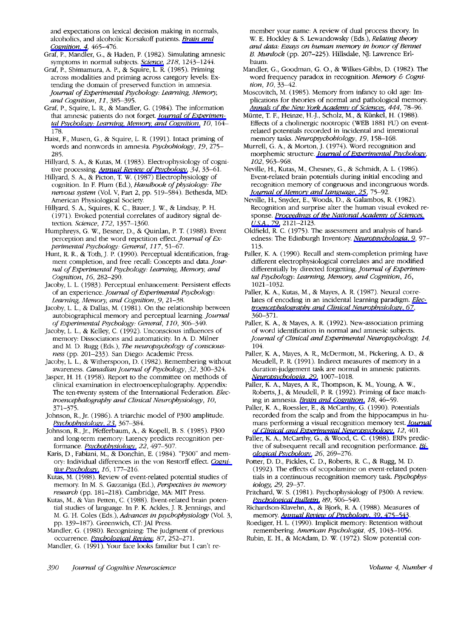and expectations on lexical decision making in normals, alcoholics, and alcoholic Korsakoff patients. *Brain and Cognition, 4,* 465-476.

Graf, P., Mandler, G., & Haden, P. (1982). Simulating amnesic symptoms in normal subjects. *Science,* 218, 1243-1244.

Graf, P., Shimamura, A. P., & Squire, L. R. (1985). Priming across modalities and priming across category levels: Extending the domain of preserved function in amnesia. *Journal of Experimental Psychology: Learning, Memory, and Cognition, I I,* 385-395.

Graf, P., Squire, L. R., & Mandler, G. (1984). The information that amnesic patients do not forget. *Journal of Experimental Psychology: Learning, Memoy, and Cognition, 10,* 164- 178.

Haist, F., Musen, G., & Squire, L. R. (1991). Intact priming of words and nonwords in amnesia. *Psychobiology, 19,* 275- 285.

Hillyard, S. A,, & Kutas, M. (1983). Electrophysiology of cognitive processing. *Annual Review of Psychology, 34,* 33-61.

Hillyard, *S.* A,, & Picton, T. W. (1987) Electrophysiology of cognition. In F. Plum (Ed.), *Handbook of physiology: The nervous system* (Vol. V, Part 2, pp. 519-584). Bethesda, MD: American Physiological Society.

(1971). Evoked potential correlates of auditory signal detection. *Science*, 172, 1357-1360. Hillyard, S. A,, Squires, K. C., Bauer, J. W., & Lindsay, P. H.

Humphreys, G. W., Besner, D., & Quinlan, P. T. (1988). Event perception and the word repetition effect. *Journal of Experimentul Psycbology: Generul, I1 7,* 51-67.

Hunt, R. R., & Toth, J. P. (1990). Perceptual identification, fragment completion, and free recall: Concepts and data. *Journu1 of Experimental Psychology: Learning, Memory, and*  Cognition, 16, 282-290.

Jacoby, L. L. (1983). Perceptual enhancement: Persistent effects of an experience. *Journal of Experimental Psychology: Learning, Memory, and Cognition, 9,* 21-38.

Jacoby, L. L., & Dallas, M. (1781). On the relationship between autobiographical memory and perceptual learning. *Journal of Experimental Psychology: General, 110,* 306-340.

Jacoby, L. L., & Kelley, C. (1992). Unconscious influences of memory: Dissociations and automaticity. In **A.** D. Milner and M. D. Rugg (Eds.), *The neuropsychology of consciousnes* (pp. 201-233). San Diego: Academic Press.

Jacoby, L. L., & Witherspoon, D. (1782). Remembering without awareness. *Canadian Journal of Psychology,* 32, 300-324.

Jasper, H. H. (1958). Report to the committee on methods of clinical examination in electroencephalography. Appendix: The ten-twenty system of the International Federation. *Electroencephalography and Clinical Neurophysiology, 10,*  371-375.

Johnson, R., Jr. (1986). A triarchic model of P300 amplitude. *Psychophysiology,* 23, 367-384.

Johnson, R., Jr., Pfefferbaum, A,, & Kopell, B. S. (1985). P300 and long-term memory: Latency predicts recognition performance. *Psychophysiology,* 22, 497-507.

Karis, D., Fabiani, M., & Donchin, E. (1984). "P300" and memory: Individual differences in the von Restorff effect. *Cognitive Psychology, 16,* 177-216.

Kutas, M. (1988). Review of event-related potential studies of memory. In M. S. Gazzaniga (Ed.), *Perspectives in memory research* (pp. 181-218). Cambridge, MA: MIT Press.

Kutas, M., & Van Petten, C. (1988). Event-related brain potential studies of language. In P. K. Ackles, J. R. Jennings, and M. G. H. Coles (Eds.), *Advances in psychophysiology* (Vol. 3, pp. 139-187). Greenwich, CT: JAI Press.

occurrence. *Psychological Review*, 87, 252-271. Mandler, G. (1980). Recognizing: The judgment of previous

Mandler, G. (1991). Your face looks familiar but I can't re-

member your name: **A** review of dual process theory. In W. E. Hockley & S. Lewandowsky (Eds.), *Relating theoy and data: Essays on human memory in honor of Bennet B. Murdock* (pp. 207-225). Hillsdale, NJ: Lawrence Erlbaum.

Mandler, G., Goodman, G. O., & Wilkes-Gibbs, D. (1982). The word frequency paradox in recognition. *Memory C Cognition, 10,* 33-42.

Moscovitch, M. (1985). Memory from infancy to old age: Implications for theories of normal and pathological memory. *Annuls of the New York Academy of Sciences, 444,* 78-76.

Münte, T. F., Heinze, H.-J., Scholz, M., & Künkel, H. (1988). Effects of a cholinergic nootropic (WEB 1881 FU) on eventrelated potentials recorded in incidental and intentional memory **tasks.** *Neuropsychobiology, 19,* 158-168.

morphemic structure. *Journal of Eaperimental Psychology,*  Murrell, G. **A,,** & Morton, J. (1974). Word recognition and 102,963-968.

Neville, H., Kutas, M., Chesney, G., & Schmidt, A. L. (1986). Event-related brain potentials during initial encoding and recognition memory of congruous and incongruous words. *Journal of Memory and Language,* 25, 75-92.

Recognition and surprise alter the human visual evoked response. *Proceedings of the National Academy of Sciences,*  Neville, H., Snyder, E., Woods, D., & Galambos, R. (1982). *U.S.A., 79,* 2121-2123.

Oldfield, R. C. (1975). The assessment and analysis of handedness: The Edinburgh Inventory. *Neuropsychologia, 9,* 97- 113.

Paller, K. A. <sup>(1990).</sup> Recall and stem-completion priming have different electrophysiological correlates and are modified differentially by directed forgetting. *Journal of Experimental Psychology: Learning, Memory, and Cognition, IG,*  1021-1032.

Paller, K. A,, Kutas, M., & Mayes, A. R. (1987). Neural correlates of encoding in an incidental learning paradigm. *Electroencephalography and Clinical Neurophysiology* ,67, 360-371.

Paller, K. A., & Mayes, A. R. (1992). New-association priming of word identification in normal and amnesic subjects. *Journal of Clinical and Experimental Neuropsychology, 14,*  104.

Paller, K. **A,,** Mayes, A. R., McDermott, M., Pickering, A. D., & Meudell, P. R. (1991). Indirect measures of memory in a duration-judgement task are normal in amnesic patients. *Neuropsychologia, 29, 1007-1018.* 

Roberts, J., & Meudell, P. R. (1992). Priming of face matching in amnesia. *Brain and Cognition,* 18, 46-59. Paller, K. A,, Mayes, A. R., Thompson, K. M., Young, A. W.,

recorded from the scalp and from the hippocampus in humans performing a visual recognition memory test. *Journal of Clinical and Experimental Neuropsychology,* 12, 401. Paller, K. A,, Roessler, E., & McCarthy, G. (1990). Potentials

Paller, K. A,, McCarthy, G., & Wood, C. C. (1988). ERPs predictive of subsequent recall and recognition performance. *Biological Psychology, 26,* 269-276.

(1792). The effects of scopolamine on event-related potentials in a continuous recognition memory task. *Psychopbysiology, 29,* 29-37. Potter, D. D., Pickles, C. D., Roberts, R. C., & Rugg, M. D.

Pritchard, W. S. (1981). Psychophysiology of P300: A review. *Psychological Bulletin, 89,* 506-540.

Richardson-Klavehn, A,, & Bjork, R. A. (1988). Measures of memory. *Annual Review of Psychology, 39,* 475-543.

Roediger, H. L. (1990). Implicit memory: Retention without remembering. American Psychologist, 45, 1043-1056.

Rubin, E. H., & McAdam, D. W. (1972). Slow potential con-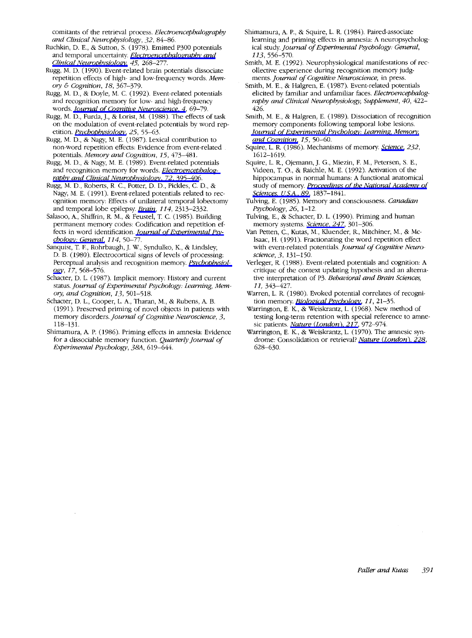comitants of the retrieval process. *Electroencephalography and Clinical Neurophysiology, 32,* 84-86.

Ruchkin, D. E., & Sutton, S. (1978). Emitted P300 potentials and temporal uncertainty. *Electroencephalography and Clinical Neurophysiology, 45,* 268-277.

Rug, M. D. (1990). Event-related brain potentials dissociate repetition effects of high- and low-frequency words. *Memory G Cognition, 18,* 367-379.

Rugg, M. D., & Doyle, M. C. (1992). Event-related potentials and recognition memory for low- and high-frequency words. *Journal of Cognitive Neuroscience, 4,* 69-79.

on the modulation of event-related potentials by word repetition. *Psychophysiology, 25,* 55-63. Rugg, M. D., Furda, J., & Lorist, M. (1988). The effects of task

non-word repetition effects: Evidence from event-related potentials. *Memory and Cognition, 15,* 473-481. Rugg, M. D., & Nagy, M. E. (1987). Lexical contribution to

Rugg, M. D., & Nagy, M. E. (1989). Event-related potentials and recognition memory for words. *Electroencephalography and Clinical Neurophysiology, 72,* 395-406.

Nagy, M. E. (1991). Event-related potentials related to recognition memory: Effects of unilateral temporal lobectomy and temporal lobe epilepsy. *Brain, 114,* 2313-2332. Rugg, M. D., Roberts, R. C., Potter, D. D., Pickles, C. D., &

Salasoo, A., Shiffrin, R. M., & Feustel, T. C. (1985). Building permanent memory codes: Codification and repetition effects in word identification. *Journal of Experimental Psychology: General, 114,* 50-77.

D. B. (1980). Electrocortical signs of levels of processing: Perceptual analysis and recognition memory. *Psychophysiol-*Sanquist, T. F., Rohrbaugh, J. W., Syndulko, K., & Lindsley, *OD, 17,* 568-576.

Schacter, D. L. (1987). Implicit memory: History and current status. *Journal of Experimental Psychology: Learning, Mmoy, and Cognition, 33,* 501-518.

(1991). Preserved priming of novel objects in patients with memory disorders. *Journal of Cognitive Neuroscience, 3,*  Schacter, D. L., Cooper, L. **A,,** Tharan, M., & Rubens, **A.** B. 118-131.

Shimamura, **A.** P. (1986). Priming effects in amnesia: Evidence for a dissociable memory function. *Quarterly Journal oj Experimental Psychology, 38A,* 619-644.

Shimamura, **A.** P., & Squire, L. R. (1984). Paired-associate learning and priming effects in amnesia: **A** neuropsychological study. *Journal of Experimental Psychology: General, 113,* 556-570.

Smith, *M.* E. (1992). Neurophysiological manifestations of recollective experience during recognition memory judgments. *Journal of Cognitive Neuroscience,* in press.

Smith, M. E., & Halgren, E. (1987). Event-related potentials elicited by familiar and unfamiliar faces. *Electroencephalography and Clinical Neurophysiology, Supplement, 40,* 422- 426.

Smith, M. E., & Halgren, E. (1989). Dissociation of recognition memory components following temporal lobe lesions. *Journal of Experimental Psychology: Learning, Mmory, and Cognition, 15,* 50-60.

Squire, L. R. (1986). Mechanisms of memory. *Science, 232,*  1612-1619.

Squire, L. R., Ojemann, J. G., Miezin, F. M., Petersen, S. E., Videen, T. O., & Raichle, M. E. (1992). Activation of the hippocampus in normal humans: **A** functional anatomical study of memory. *Proceedings of the National Academy of Sciences, U.S.A., 89,* 1837-1841.

Tulving, E. (1985). Memory and consciousness. *Canadian Psychology, 26,* 1-12.

Tulving, E., & Schacter, D. L. (1990). Priming and human memory systems. *Science, 247,* 301-306.

Van Petten, C., Kutas, M., Kluender, R., Mitchiner, M., & Mc-Isaac, H. (1991). Fractionating the word repetition effect with event-related potentials. *Journal of Cognitive Neuroscience, 3,* 131-150.

Verleger, R. (1988). Event-related potentials and cognition: **A**  critique of the context updating hypothesis and an alternative interpretation of P3. *Behavioral and Brain Sciences, 11,* 343-427.

Warren, L. R. (1980). Evoked potential correlates of recognition memory. *Biological Psychology, 11,* 21-35.

Warrington, E. K., & Weiskrantz, L. (1968). New method of testing long-term retention with special reference to amnesic patients. *Nature (London)*, 217, 972-974.

Warrington, E. K., & Weiskrantz, L. (1970). The amnesic syndrome: Consolidation or retrieval? *Nature (London), 228,*  628-630.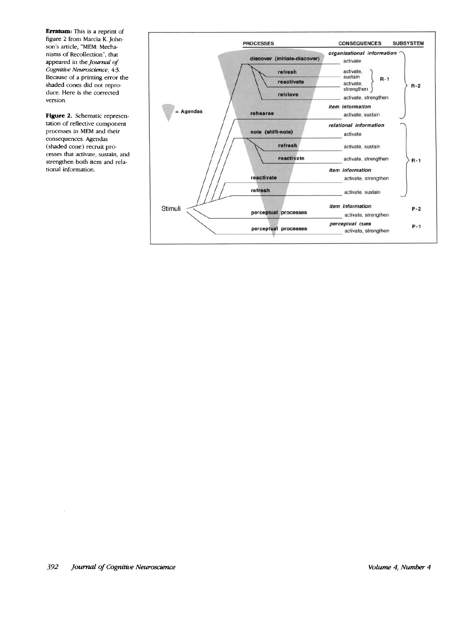**Erratum:** This is a reprint of figure **2** from Marcia **K.** Johnson's article, "MEM: Mechanisms of Recollection", that appeared in the *Journal of Cognitive Neuroscience, 43.*  Because of a printing error the shaded cones did not reproduce. Here is the corrected version.

**Figure** *2.* Schematic representation of reflective component processes in MEM and their consequences. Agendas (shaded cone) recruit processes that activate, sustain, and strengthen both item and relational information.